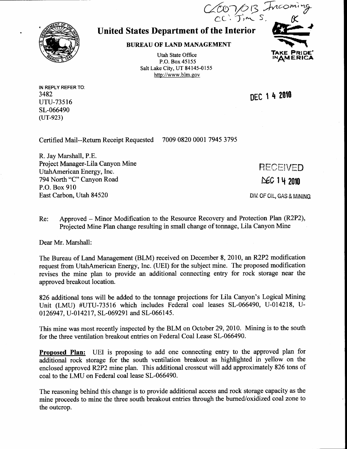## United States Department of the Interior

**BUREAU OF LAND MANAGEMENT** 

Utah State Office P.O. Box 45155 Salt Lake City, UT 84145-0155 http://www.blm.gov

DEC 1 4 2010

RECEIVED

 $NEC$  1 4 2010

DIV. OF OIL, GAS & MINING

 $(200/0.13)$ CC: 5m

Certified Mail--Return Receipt Requested 7009 0820 0001 7945 3795

R. Jay Marshall, P.E. Project Manager-Lila Canyon Mine UtahAmerican Energy, Inc. 794 North "C" Canyon Road P.O. Box 910 East Carbon, Utah 84520

Re: Approved – Minor Modification to the Resource Recovery and Protection Plan (R2P2), Projected Mine Plan change resulting in small change of tonnage, Lila Canyon Mine

Dear Mr. Marshall:

The Bureau of Land Management (BLM) received on December 8, 2010, an R2P2 modification request from UtahAmerican Energy, Inc. (UEI) for the subject mine. The proposed modification revises the mine plan to provide an additional connecting entry for rock storage near the approved breakout location.

826 additional tons will be added to the tonnage projections for Lila Canyon's Logical Mining Unit (LMU) #UTU-73516 which includes Federal coal leases SL-066490, U-014218, U-0126947, U-014217, SL-069291 and SL-066145.

This mine was most recently inspected by the BLM on October29,2010. Mining is to the south for the three ventilation breakout entries on Federal Coal Lease SL-066490.

**Proposed Plan:** UEI is proposing to add one connecting entry to the approved plan for additional rock storage for the south ventilation breakout as highlighted in yellow on the enclosed approved R2P2 mine plan. This additional crosscut will add approximately 826 tons of coal to the LMU on Federal coal lease SL-066490.

The reasoning behind this change is to provide additional access and rock storage capacity as the mine proceeds to mine the three south breakout entries through the burned/oxidized coal zone to the outcrop.



IN REPLY REFER TO:

uru-73516 sL-066490  $(UT-923)$ 

3482

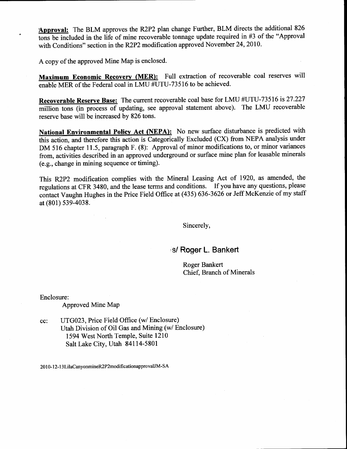Approval: The BLM approves the R2P2 plan change Further, BLM directs the additional <sup>826</sup> tons be included in the life of mine recoverable tonnage update required in  $#3$  of the "Approval with Conditions" section in the R2P2 modification approved November 24,2010.

A copy of the approved Mine Map is enclosed.

Maximum Economic Recovery (MER): Full extraction of recoverable coal reserves will enable MER of the Federal coal in LMU #UTU-73516 to be achieved.

Recoverable Reserve Base: The current recoverable coal base for LMU #UTU-73516 is 27.227 million tons (in process of updating, see approval statement above). The LMU recoverable reserve base will be increased by 826 tons.

National Environmental Policy Act (NEPA): No new surface disturbance is predicted with this action, and therefore this action is Categorically Excluded (CX) from NEPA analysis under DM 516 chapter 11.5, paragraph F. (8): Approval of minor modifications to, or minor variances from, activities described in an approved underground or surface mine plan for leasable minerals (e.g., change in mining sequcnce or timing).

This R2P2 modification complies with the Mineral Leasing Act of 1920, as amended, the regulations at CFR 3480, and the lease terms and conditions. If you have any questions, please contact Vaughn Hughes in the Price Field Office at (435) 636-3626 or Jeff McKenzie of my staff at (801) s39-4038.

Sincerely,

/s/ Roger L. Bankert

Roger Bankert Chief. Branch of Minerals

Enclosure:

Approved Mine Map

cc: UTG023, Price Field Office (w/ Enclosure) Utah Division of Oil Gas and Mining (w/ Enclosure) <sup>I</sup>594 West North Temple, Suite l2l0 Salt Lake City, Utah 84114-5801

2010-12-13LilaCanyonmineR2P2modificationapprovalJM-SA